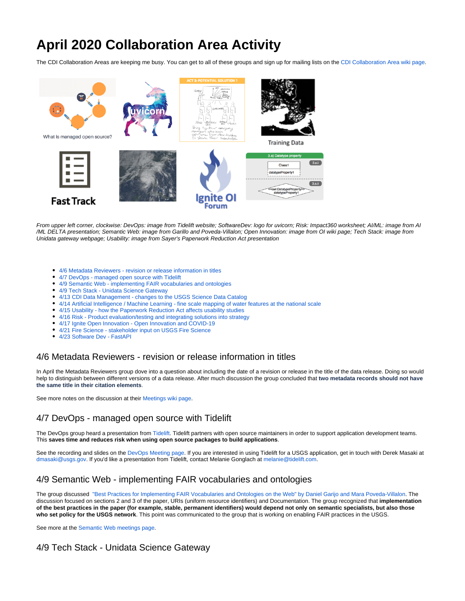# **April 2020 Collaboration Area Activity**

The CDI Collaboration Areas are keeping me busy. You can get to all of these groups and sign up for mailing lists on the [CDI Collaboration Area wiki page.](https://my.usgs.gov/confluence/x/yhv1I)



From upper left corner, clockwise: DevOps: image from Tidelift website; SoftwareDev: logo for uvicorn; Risk: Impact360 worksheet; AI/ML: image from AI /ML DELTA presentation; Semantic Web: image from Garillo and Poveda-Villalon; Open Innovation: image from OI wiki page; Tech Stack: image from Unidata gateway webpage; Usability: image from Sayer's Paperwork Reduction Act presentation

- [4/6 Metadata Reviewers revision or release information in titles](#page-0-0)
- [4/7 DevOps managed open source with Tidelift](#page-0-1)
- [4/9 Semantic Web implementing FAIR vocabularies and ontologies](#page-0-2)
- [4/9 Tech Stack Unidata Science Gateway](#page-0-3)
- [4/13 CDI Data Management changes to the USGS Science Data Catalog](#page-1-0)
- [4/14 Artificial Intelligence / Machine Learning fine scale mapping of water features at the national scale](#page-1-1)
- [4/15 Usability how the Paperwork Reduction Act affects usability studies](#page-1-2)
- [4/16 Risk Product evaluation/testing and integrating solutions into strategy](#page-1-3)
- [4/17 Ignite Open Innovation Open Innovation and COVID-19](#page-1-4)
- [4/21 Fire Science stakeholder input on USGS Fire Science](#page-1-5)
- [4/23 Software Dev FastAPI](#page-1-6)

# <span id="page-0-0"></span>4/6 Metadata Reviewers - revision or release information in titles

In April the Metadata Reviewers group dove into a question about including the date of a revision or release in the title of the data release. Doing so would help to distinguish between different versions of a data release. After much discussion the group concluded that **two metadata records should not have the same title in their citation elements**.

See more notes on the discussion at their [Meetings wiki page.](https://my.usgs.gov/confluence/x/a4MeIQ)

# <span id="page-0-1"></span>4/7 DevOps - managed open source with Tidelift

The DevOps group heard a presentation from [Tidelift.](https://tidelift.com/) Tidelift partners with open source maintainers in order to support application development teams. This **saves time and reduces risk when using open source packages to build applications**.

See the recording and slides on the [DevOps Meeting page.](https://my.usgs.gov/confluence/x/4gjKIg) If you are interested in using Tidelift for a USGS application, get in touch with Derek Masaki at [dmasaki@usgs.gov.](mailto:dmasaki@usgs.gov) If you'd like a presentation from Tidelift, contact Melanie Gonglach at [melanie@tidelift.com.](mailto:melanie@tidelift.com)

# <span id="page-0-2"></span>4/9 Semantic Web - implementing FAIR vocabularies and ontologies

The group discussed ["Best Practices for Implementing FAIR Vocabularies and Ontologies on the Web" by Daniel Garijo and Mara Poveda-Villalon.](https://arxiv.org/pdf/2003.13084.pdf) The discussion focused on sections 2 and 3 of the paper, URIs (uniform resource identifiers) and Documentation. The group recognized that **implementation of the best practices in the paper (for example, stable, permanent identifiers) would depend not only on semantic specialists, but also those who set policy for the USGS network**. This point was communicated to the group that is working on enabling FAIR practices in the USGS.

See more at the [Semantic Web meetings page.](https://my.usgs.gov/confluence/x/wQTqJg)

# <span id="page-0-3"></span>4/9 Tech Stack - Unidata Science Gateway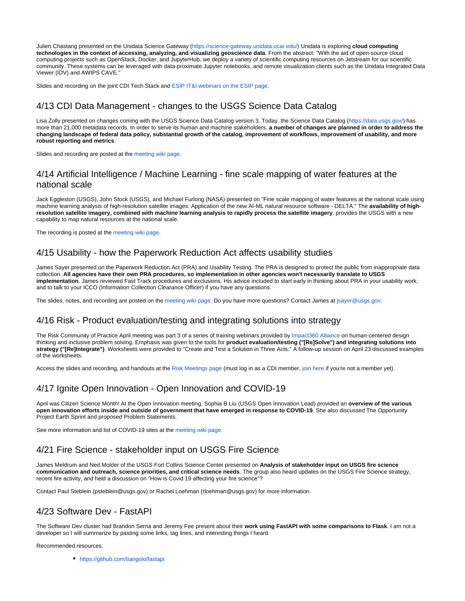Julien Chastang presented on the Unidata Science Gateway [\(https://science-gateway.unidata.ucar.edu/\)](https://science-gateway.unidata.ucar.edu/) Unidata is exploring **cloud computing technologies in the context of accessing, analyzing, and visualizing geoscience data**. From the abstract: "With the aid of open-source cloud computing projects such as OpenStack, Docker, and JupyterHub, we deploy a variety of scientific computing resources on Jetstream for our scientific community. These systems can be leveraged with data-proximate Jupyter notebooks, and remote visualization clients such as the Unidata Integrated Data Viewer (IDV) and AWIPS CAVE."

Slides and recording on the joint CDI Tech Stack and [ESIP IT&I webinars on the ESIP page](http://wiki.esipfed.org/index.php/Interoperability_and_Technology/Tech_Dive_Webinar_Series).

# <span id="page-1-0"></span>4/13 CDI Data Management - changes to the USGS Science Data Catalog

Lisa Zolly presented on changes coming with the USGS Science Data Catalog version 3. Today, the Science Data Catalog [\(https://data.usgs.gov/\)](https://data.usgs.gov/) has more than 21,000 metadata records. In order to serve its human and machine stakeholders, **a number of changes are planned in order to address the changing landscape of federal data policy, substantial growth of the catalog, improvement of workflows, improvement of usability, and more robust reporting and metrics**.

Slides and recording are posted at the [meeting wiki page.](https://my.usgs.gov/confluence/x/SENUJw)

#### <span id="page-1-1"></span>4/14 Artificial Intelligence / Machine Learning - fine scale mapping of water features at the national scale

Jack Eggleston (USGS), John Stock (USGS), and Michael Furlong (NASA) presented on "Fine scale mapping of water features at the national scale using machine learning analysis of high-resolution satellite images: Application of the new AI-ML natural resource software - DELTA." The **availability of highresolution satellite imagery, combined with machine learning analysis to rapidly process the satellite imagery**, provides the USGS with a new capability to map natural resources at the national scale.

The recording is posted at the [meeting wiki page](https://my.usgs.gov/confluence/x/rpGVJ).

#### <span id="page-1-2"></span>4/15 Usability - how the Paperwork Reduction Act affects usability studies

James Sayer presented on the Paperwork Reduction Act (PRA) and Usability Testing. The PRA is designed to protect the public from inappropriate data collection. **All agencies have their own PRA procedures, so implementation in other agencies won't necessarily translate to USGS implementation**. James reviewed Fast Track procedures and exclusions. His advice included to start early in thinking about PRA in your usability work, and to talk to your ICCO (Information Collection Clearance Officer) if you have any questions.

The slides, notes, and recording are posted on the [meeting wiki page](https://my.usgs.gov/confluence/x/cBoTJw). Do you have more questions? Contact James at [jsayer@usgs.gov](mailto:jsayer@usgs.gov).

#### <span id="page-1-3"></span>4/16 Risk - Product evaluation/testing and integrating solutions into strategy

The Risk Community of Practice April meeting was part 3 of a series of training webinars provided by [Impact360 Alliance](https://impact360alliance.org/) on human-centered design thinking and inclusive problem solving. Emphasis was given to the tools for **product evaluation/testing ("[Re]Solve") and integrating solutions into strategy ("[Re]Integrate")**. Worksheets were provided to "Create and Test a Solution in Three Acts." A follow-up session on April 23 discussed examples of the worksheets.

Access the slides and recording, and handouts at the [Risk Meetings page](https://my.usgs.gov/confluence/x/Y4A4JQ) (must log in as a CDI member, [join here](https://my.usgs.gov/confluence/display/cdi/Join+the+CDI) if you're not a member yet).

#### <span id="page-1-4"></span>4/17 Ignite Open Innovation - Open Innovation and COVID-19

April was Citizen Science Month! At the Open Innovation meeting, Sophia B Liu (USGS Open Innovation Lead) provided an **overview of the various open innovation efforts inside and outside of government that have emerged in response to COVID-19**. She also discussed The Opportunity Project Earth Sprint and proposed Problem Statements.

See more information and list of COVID-19 sites at the [meeting wiki page](https://my.usgs.gov/confluence/x/1UpUJw).

# <span id="page-1-5"></span>4/21 Fire Science - stakeholder input on USGS Fire Science

James Meldrum and Ned Molder of the USGS Fort Collins Science Center presented on **Analysis of stakeholder input on USGS fire science communication and outreach, science priorities, and critical science needs**. The group also heard updates on the USGS Fire Science strategy, recent fire activity, and held a discussion on "How is Covid 19 affecting your fire science"?

Contact Paul Steblein (psteblein@usgs.gov) or Rachel Loehman (rloehman@usgs.gov) for more information.

# <span id="page-1-6"></span>4/23 Software Dev - FastAPI

The Software Dev cluster had Brandon Serna and Jeremy Fee present about their **work using FastAPI with some comparisons to Flask**. I am not a developer so I will summarize by pasting some links, tag lines, and interesting things I heard.

Recommended resources.

<https://github.com/tiangolo/fastapi>